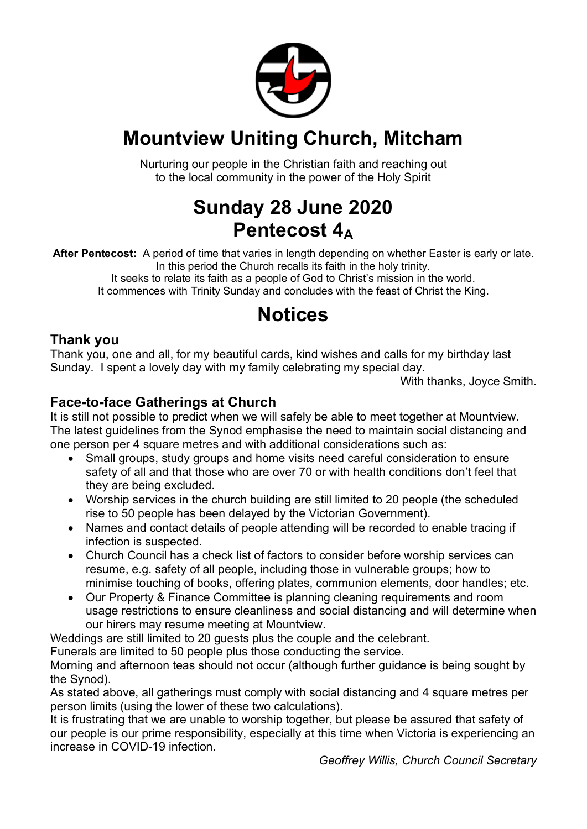

### **Mountview Uniting Church, Mitcham**

Nurturing our people in the Christian faith and reaching out to the local community in the power of the Holy Spirit

### **Sunday 28 June 2020 Pentecost 4A**

**After Pentecost:** A period of time that varies in length depending on whether Easter is early or late. In this period the Church recalls its faith in the holy trinity. It seeks to relate its faith as a people of God to Christ's mission in the world.

It commences with Trinity Sunday and concludes with the feast of Christ the King.

# **Notices**

### **Thank you**

Thank you, one and all, for my beautiful cards, kind wishes and calls for my birthday last Sunday. I spent a lovely day with my family celebrating my special day.

With thanks, Joyce Smith.

#### **Face-to-face Gatherings at Church**

It is still not possible to predict when we will safely be able to meet together at Mountview. The latest guidelines from the Synod emphasise the need to maintain social distancing and one person per 4 square metres and with additional considerations such as:

- Small groups, study groups and home visits need careful consideration to ensure safety of all and that those who are over 70 or with health conditions don't feel that they are being excluded.
- Worship services in the church building are still limited to 20 people (the scheduled rise to 50 people has been delayed by the Victorian Government).
- Names and contact details of people attending will be recorded to enable tracing if infection is suspected.
- Church Council has a check list of factors to consider before worship services can resume, e.g. safety of all people, including those in vulnerable groups; how to minimise touching of books, offering plates, communion elements, door handles; etc.
- Our Property & Finance Committee is planning cleaning requirements and room usage restrictions to ensure cleanliness and social distancing and will determine when our hirers may resume meeting at Mountview.

Weddings are still limited to 20 guests plus the couple and the celebrant.

Funerals are limited to 50 people plus those conducting the service.

Morning and afternoon teas should not occur (although further guidance is being sought by the Synod).

As stated above, all gatherings must comply with social distancing and 4 square metres per person limits (using the lower of these two calculations).

It is frustrating that we are unable to worship together, but please be assured that safety of our people is our prime responsibility, especially at this time when Victoria is experiencing an increase in COVID-19 infection.

*Geoffrey Willis, Church Council Secretary*